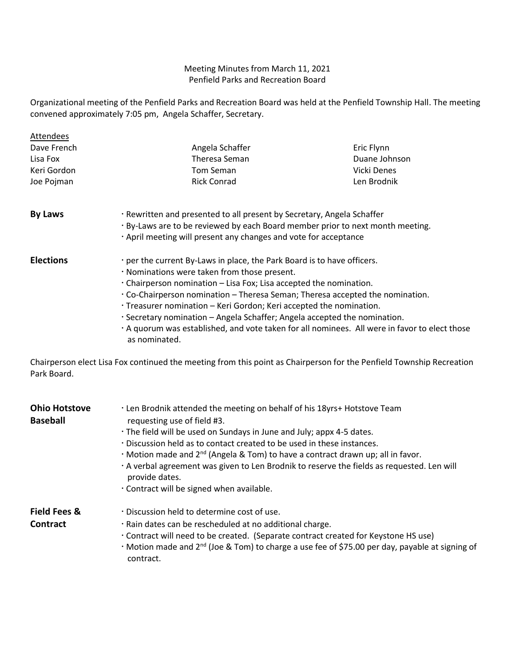## Meeting Minutes from March 11, 2021 Penfield Parks and Recreation Board

Organizational meeting of the Penfield Parks and Recreation Board was held at the Penfield Township Hall. The meeting convened approximately 7:05 pm, Angela Schaffer, Secretary.

| Attendees        |                                                                                                                                                    |               |  |
|------------------|----------------------------------------------------------------------------------------------------------------------------------------------------|---------------|--|
| Dave French      | Angela Schaffer                                                                                                                                    | Eric Flynn    |  |
| Lisa Fox         | Theresa Seman                                                                                                                                      | Duane Johnson |  |
| Keri Gordon      | Tom Seman                                                                                                                                          | Vicki Denes   |  |
| Joe Pojman       | <b>Rick Conrad</b>                                                                                                                                 | Len Brodnik   |  |
| <b>By Laws</b>   | . Rewritten and presented to all present by Secretary, Angela Schaffer                                                                             |               |  |
|                  | · By-Laws are to be reviewed by each Board member prior to next month meeting.<br>. April meeting will present any changes and vote for acceptance |               |  |
| <b>Elections</b> | . per the current By-Laws in place, the Park Board is to have officers.                                                                            |               |  |
|                  | . Nominations were taken from those present.                                                                                                       |               |  |
|                  | $\cdot$ Chairperson nomination – Lisa Fox; Lisa accepted the nomination.                                                                           |               |  |
|                  | Co-Chairperson nomination – Theresa Seman; Theresa accepted the nomination.                                                                        |               |  |
|                  | · Treasurer nomination – Keri Gordon; Keri accepted the nomination.                                                                                |               |  |
|                  | . Secretary nomination – Angela Schaffer; Angela accepted the nomination.                                                                          |               |  |
|                  | A quorum was established, and vote taken for all nominees. All were in favor to elect those<br>as nominated.                                       |               |  |

Chairperson elect Lisa Fox continued the meeting from this point as Chairperson for the Penfield Township Recreation Park Board.

| <b>Ohio Hotstove</b><br>Baseball | . Len Brodnik attended the meeting on behalf of his 18yrs+ Hotstove Team<br>requesting use of field #3.<br>· The field will be used on Sundays in June and July; appx 4-5 dates.<br>. Discussion held as to contact created to be used in these instances.<br>$\cdot$ Motion made and 2 <sup>nd</sup> (Angela & Tom) to have a contract drawn up; all in favor.<br>· A verbal agreement was given to Len Brodnik to reserve the fields as requested. Len will<br>provide dates.<br>. Contract will be signed when available. |
|----------------------------------|------------------------------------------------------------------------------------------------------------------------------------------------------------------------------------------------------------------------------------------------------------------------------------------------------------------------------------------------------------------------------------------------------------------------------------------------------------------------------------------------------------------------------|
| Field Fees &<br><b>Contract</b>  | . Discussion held to determine cost of use.<br>· Rain dates can be rescheduled at no additional charge.<br>Contract will need to be created. (Separate contract created for Keystone HS use)<br>$\cdot$ Motion made and 2 <sup>nd</sup> (Joe & Tom) to charge a use fee of \$75.00 per day, payable at signing of<br>contract.                                                                                                                                                                                               |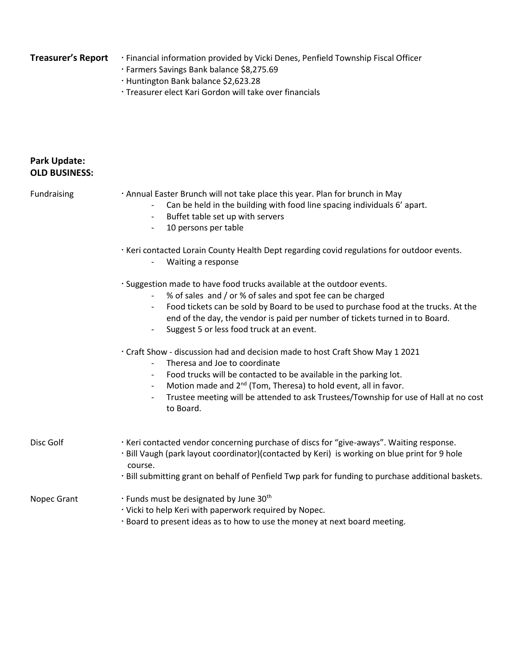- Treasurer's Report **Financial information provided by Vicki Denes, Penfield Township Fiscal Officer** 
	- Farmers Savings Bank balance \$8,275.69
	- Huntington Bank balance \$2,623.28
	- Treasurer elect Kari Gordon will take over financials

## **Park Update: OLD BUSINESS:**

| Fundraising | . Annual Easter Brunch will not take place this year. Plan for brunch in May<br>Can be held in the building with food line spacing individuals 6' apart.<br>Buffet table set up with servers<br>$\qquad \qquad -$<br>10 persons per table<br>· Keri contacted Lorain County Health Dept regarding covid regulations for outdoor events.<br>Waiting a response                                       |  |  |
|-------------|-----------------------------------------------------------------------------------------------------------------------------------------------------------------------------------------------------------------------------------------------------------------------------------------------------------------------------------------------------------------------------------------------------|--|--|
|             |                                                                                                                                                                                                                                                                                                                                                                                                     |  |  |
|             | · Suggestion made to have food trucks available at the outdoor events.<br>% of sales and / or % of sales and spot fee can be charged<br>Food tickets can be sold by Board to be used to purchase food at the trucks. At the<br>end of the day, the vendor is paid per number of tickets turned in to Board.<br>Suggest 5 or less food truck at an event.                                            |  |  |
|             | · Craft Show - discussion had and decision made to host Craft Show May 1 2021<br>Theresa and Joe to coordinate<br>Food trucks will be contacted to be available in the parking lot.<br>Motion made and 2 <sup>nd</sup> (Tom, Theresa) to hold event, all in favor.<br>Trustee meeting will be attended to ask Trustees/Township for use of Hall at no cost<br>$\overline{\phantom{a}}$<br>to Board. |  |  |
| Disc Golf   | · Keri contacted vendor concerning purchase of discs for "give-aways". Waiting response.<br>· Bill Vaugh (park layout coordinator)(contacted by Keri) is working on blue print for 9 hole<br>course.<br>· Bill submitting grant on behalf of Penfield Twp park for funding to purchase additional baskets.                                                                                          |  |  |
| Nopec Grant | · Funds must be designated by June 30th<br>· Vicki to help Keri with paperwork required by Nopec.<br>· Board to present ideas as to how to use the money at next board meeting.                                                                                                                                                                                                                     |  |  |